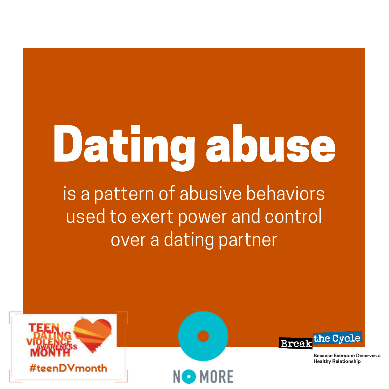# Dating abuse

is a pattern of abusive behaviors used to exert power and control over a dating partner

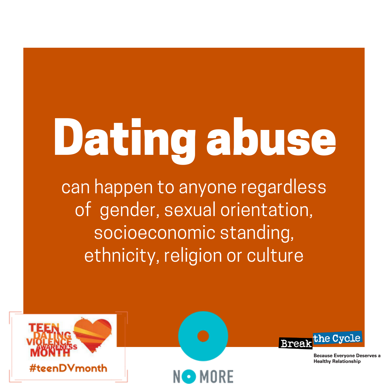## Dating abuse

can happen to anyone regardless of gender, sexual orientation, socioeconomic standing, ethnicity, religion or culture

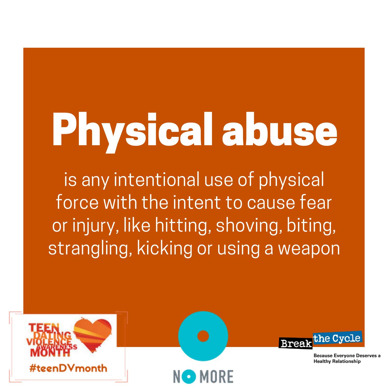## Physical abuse

is any intentional use of physical force with the intent to cause fear or injury, like hitting, shoving, biting, strangling, kicking or using a weapon

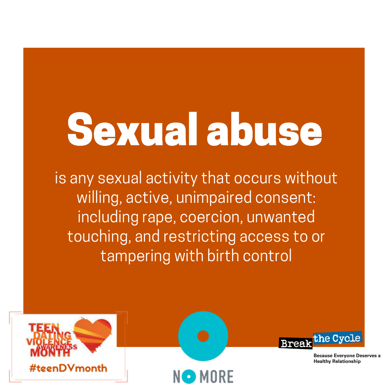### Sexual abuse

is any sexual activity that occurs without willing, active, unimpaired consent: including rape, coercion, unwanted touching, and restricting access to or tampering with birth control

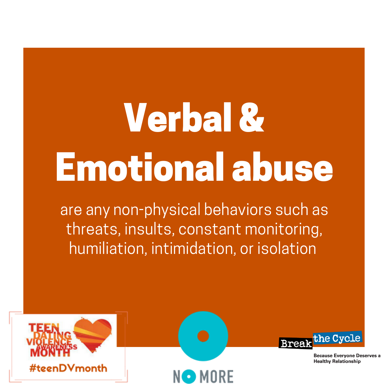#### Verbal & Emotional abuse

are any non-physical behaviors such as threats, insults, constant monitoring, humiliation, intimidation, or isolation

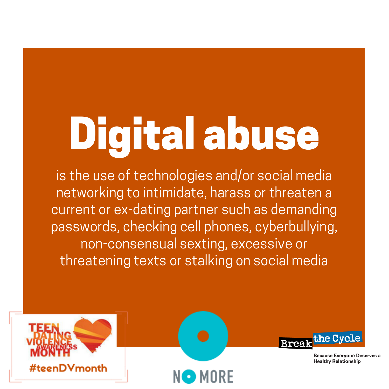### Digital abuse

is the use of technologies and/or social media networking to intimidate, harass or threaten a current or ex-dating partner such as demanding passwords, checking cell phones, cyberbullying, non-consensual sexting, excessive or threatening texts or stalking on social media

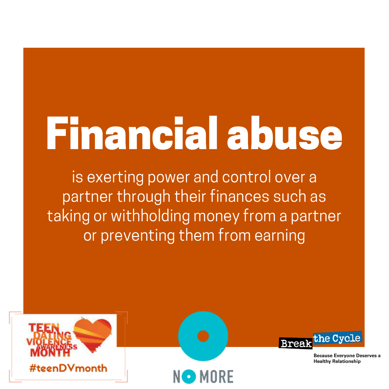### Financial abuse

is exerting power and control over a partner through their finances such as taking or withholding money from a partner or preventing them from earning

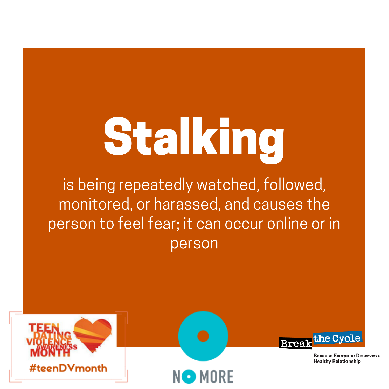# Stalking

is being repeatedly watched, followed, monitored, or harassed, and causes the person to feel fear; it can occur online or in person